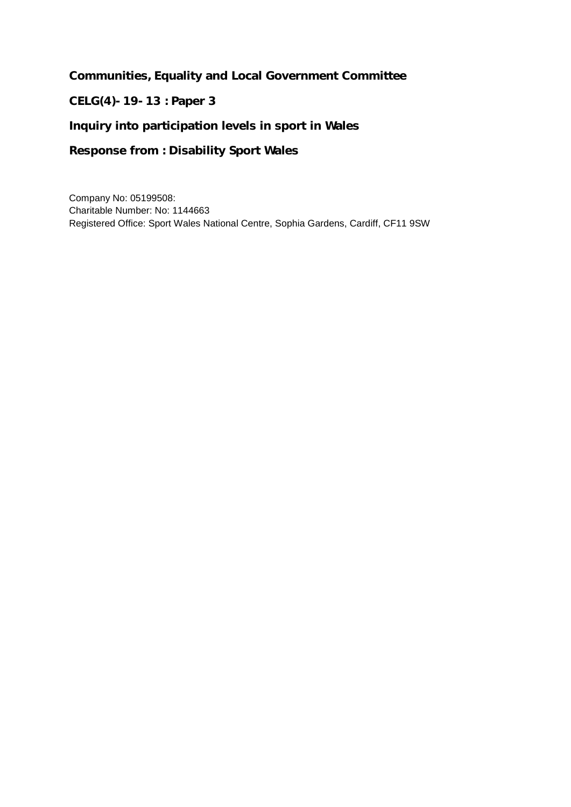**Communities, Equality and Local Government Committee**

**CELG(4)-19-13 : Paper 3**

**Inquiry into participation levels in sport in Wales** 

**Response from : Disability Sport Wales**

Company No: 05199508: Charitable Number: No: 1144663 Registered Office: Sport Wales National Centre, Sophia Gardens, Cardiff, CF11 9SW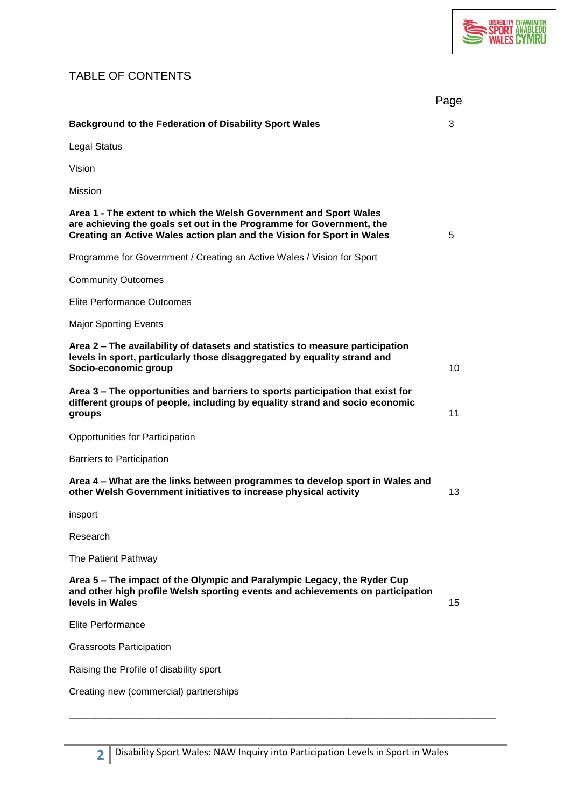

# TABLE OF CONTENTS

|                                                                                                                                                                                                                     | Page |
|---------------------------------------------------------------------------------------------------------------------------------------------------------------------------------------------------------------------|------|
| <b>Background to the Federation of Disability Sport Wales</b>                                                                                                                                                       | 3    |
| Legal Status                                                                                                                                                                                                        |      |
| Vision                                                                                                                                                                                                              |      |
| Mission                                                                                                                                                                                                             |      |
| Area 1 - The extent to which the Welsh Government and Sport Wales<br>are achieving the goals set out in the Programme for Government, the<br>Creating an Active Wales action plan and the Vision for Sport in Wales | 5    |
| Programme for Government / Creating an Active Wales / Vision for Sport                                                                                                                                              |      |
| <b>Community Outcomes</b>                                                                                                                                                                                           |      |
| Elite Performance Outcomes                                                                                                                                                                                          |      |
| <b>Major Sporting Events</b>                                                                                                                                                                                        |      |
| Area 2 - The availability of datasets and statistics to measure participation<br>levels in sport, particularly those disaggregated by equality strand and<br>Socio-economic group                                   | 10   |
| Area 3 – The opportunities and barriers to sports participation that exist for<br>different groups of people, including by equality strand and socio economic<br>groups                                             | 11   |
| Opportunities for Participation                                                                                                                                                                                     |      |
| <b>Barriers to Participation</b>                                                                                                                                                                                    |      |
| Area 4 – What are the links between programmes to develop sport in Wales and<br>other Welsh Government initiatives to increase physical activity                                                                    | 13   |
| insport                                                                                                                                                                                                             |      |
| Research                                                                                                                                                                                                            |      |
| The Patient Pathway                                                                                                                                                                                                 |      |
| Area 5 - The impact of the Olympic and Paralympic Legacy, the Ryder Cup<br>and other high profile Welsh sporting events and achievements on participation<br>levels in Wales                                        | 15   |
| Elite Performance                                                                                                                                                                                                   |      |
| <b>Grassroots Participation</b>                                                                                                                                                                                     |      |
| Raising the Profile of disability sport                                                                                                                                                                             |      |
| Creating new (commercial) partnerships                                                                                                                                                                              |      |

\_\_\_\_\_\_\_\_\_\_\_\_\_\_\_\_\_\_\_\_\_\_\_\_\_\_\_\_\_\_\_\_\_\_\_\_\_\_\_\_\_\_\_\_\_\_\_\_\_\_\_\_\_\_\_\_\_\_\_\_\_\_\_\_\_\_\_\_\_\_\_\_\_\_\_\_\_\_\_\_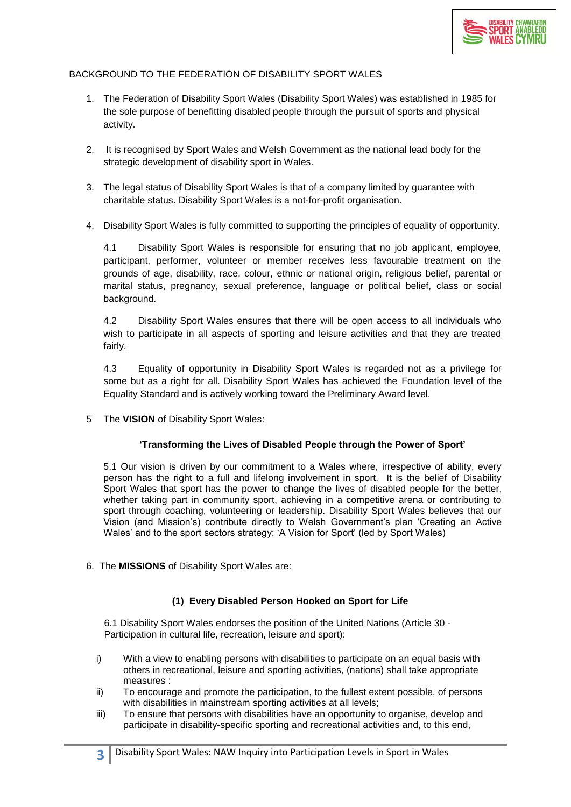

# BACKGROUND TO THE FEDERATION OF DISABILITY SPORT WALES

- 1. The Federation of Disability Sport Wales (Disability Sport Wales) was established in 1985 for the sole purpose of benefitting disabled people through the pursuit of sports and physical activity.
- 2. It is recognised by Sport Wales and Welsh Government as the national lead body for the strategic development of disability sport in Wales.
- 3. The legal status of Disability Sport Wales is that of a company limited by guarantee with charitable status. Disability Sport Wales is a not-for-profit organisation.
- 4. Disability Sport Wales is fully committed to supporting the principles of equality of opportunity.

4.1 Disability Sport Wales is responsible for ensuring that no job applicant, employee, participant, performer, volunteer or member receives less favourable treatment on the grounds of age, disability, race, colour, ethnic or national origin, religious belief, parental or marital status, pregnancy, sexual preference, language or political belief, class or social background.

4.2 Disability Sport Wales ensures that there will be open access to all individuals who wish to participate in all aspects of sporting and leisure activities and that they are treated fairly.

4.3 Equality of opportunity in Disability Sport Wales is regarded not as a privilege for some but as a right for all. Disability Sport Wales has achieved the Foundation level of the Equality Standard and is actively working toward the Preliminary Award level.

5 The **VISION** of Disability Sport Wales:

#### **'Transforming the Lives of Disabled People through the Power of Sport'**

5.1 Our vision is driven by our commitment to a Wales where, irrespective of ability, every person has the right to a full and lifelong involvement in sport. It is the belief of Disability Sport Wales that sport has the power to change the lives of disabled people for the better, whether taking part in community sport, achieving in a competitive arena or contributing to sport through coaching, volunteering or leadership. Disability Sport Wales believes that our Vision (and Mission's) contribute directly to Welsh Government's plan 'Creating an Active Wales' and to the sport sectors strategy: 'A Vision for Sport' (led by Sport Wales)

6. The **MISSIONS** of Disability Sport Wales are:

# **(1) Every Disabled Person Hooked on Sport for Life**

 6.1 Disability Sport Wales endorses the position of the United Nations (Article 30 - Participation in cultural life, recreation, leisure and sport):

- i) With a view to enabling persons with disabilities to participate on an equal basis with others in recreational, leisure and sporting activities, (nations) shall take appropriate measures :
- ii) To encourage and promote the participation, to the fullest extent possible, of persons with disabilities in mainstream sporting activities at all levels;
- iii) To ensure that persons with disabilities have an opportunity to organise, develop and participate in disability-specific sporting and recreational activities and, to this end,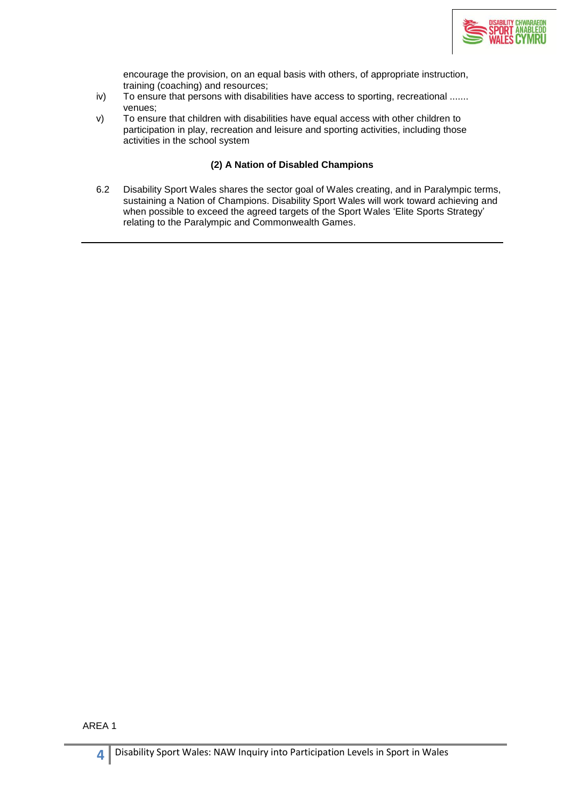

encourage the provision, on an equal basis with others, of appropriate instruction, training (coaching) and resources;

- iv) To ensure that persons with disabilities have access to sporting, recreational ....... venues;
- v) To ensure that children with disabilities have equal access with other children to participation in play, recreation and leisure and sporting activities, including those activities in the school system

# **(2) A Nation of Disabled Champions**

6.2 Disability Sport Wales shares the sector goal of Wales creating, and in Paralympic terms, sustaining a Nation of Champions. Disability Sport Wales will work toward achieving and when possible to exceed the agreed targets of the Sport Wales 'Elite Sports Strategy' relating to the Paralympic and Commonwealth Games.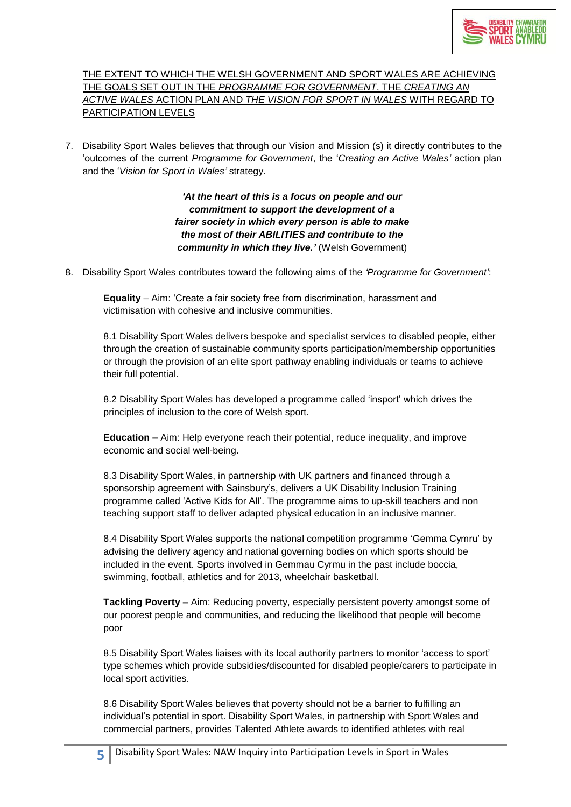

THE EXTENT TO WHICH THE WELSH GOVERNMENT AND SPORT WALES ARE ACHIEVING THE GOALS SET OUT IN THE *PROGRAMME FOR GOVERNMENT*, THE *CREATING AN ACTIVE WALES* ACTION PLAN AND *THE VISION FOR SPORT IN WALES* WITH REGARD TO PARTICIPATION LEVELS

7. Disability Sport Wales believes that through our Vision and Mission (s) it directly contributes to the 'outcomes of the current *Programme for Government*, the '*Creating an Active Wales'* action plan and the '*Vision for Sport in Wales'* strategy.

> *'At the heart of this is a focus on people and our commitment to support the development of a fairer society in which every person is able to make the most of their ABILITIES and contribute to the community in which they live.'* (Welsh Government)

8. Disability Sport Wales contributes toward the following aims of the *'Programme for Government'*:

**Equality** – Aim: 'Create a fair society free from discrimination, harassment and victimisation with cohesive and inclusive communities.

8.1 Disability Sport Wales delivers bespoke and specialist services to disabled people, either through the creation of sustainable community sports participation/membership opportunities or through the provision of an elite sport pathway enabling individuals or teams to achieve their full potential.

8.2 Disability Sport Wales has developed a programme called 'insport' which drives the principles of inclusion to the core of Welsh sport.

**Education –** Aim: Help everyone reach their potential, reduce inequality, and improve economic and social well-being.

8.3 Disability Sport Wales, in partnership with UK partners and financed through a sponsorship agreement with Sainsbury's, delivers a UK Disability Inclusion Training programme called 'Active Kids for All'. The programme aims to up-skill teachers and non teaching support staff to deliver adapted physical education in an inclusive manner.

8.4 Disability Sport Wales supports the national competition programme 'Gemma Cymru' by advising the delivery agency and national governing bodies on which sports should be included in the event. Sports involved in Gemmau Cyrmu in the past include boccia, swimming, football, athletics and for 2013, wheelchair basketball.

**Tackling Poverty –** Aim: Reducing poverty, especially persistent poverty amongst some of our poorest people and communities, and reducing the likelihood that people will become poor

8.5 Disability Sport Wales liaises with its local authority partners to monitor 'access to sport' type schemes which provide subsidies/discounted for disabled people/carers to participate in local sport activities.

8.6 Disability Sport Wales believes that poverty should not be a barrier to fulfilling an individual's potential in sport. Disability Sport Wales, in partnership with Sport Wales and commercial partners, provides Talented Athlete awards to identified athletes with real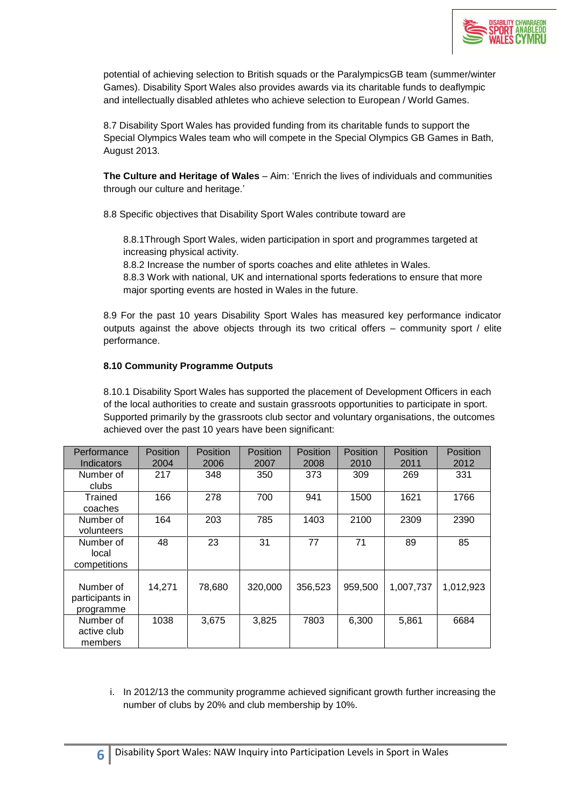

potential of achieving selection to British squads or the ParalympicsGB team (summer/winter Games). Disability Sport Wales also provides awards via its charitable funds to deaflympic and intellectually disabled athletes who achieve selection to European / World Games.

8.7 Disability Sport Wales has provided funding from its charitable funds to support the Special Olympics Wales team who will compete in the Special Olympics GB Games in Bath, August 2013.

**The Culture and Heritage of Wales** – Aim: 'Enrich the lives of individuals and communities through our culture and heritage.'

8.8 Specific objectives that Disability Sport Wales contribute toward are

8.8.1Through Sport Wales, widen participation in sport and programmes targeted at increasing physical activity.

8.8.2 Increase the number of sports coaches and elite athletes in Wales.

8.8.3 Work with national, UK and international sports federations to ensure that more major sporting events are hosted in Wales in the future.

8.9 For the past 10 years Disability Sport Wales has measured key performance indicator outputs against the above objects through its two critical offers – community sport / elite performance.

# **8.10 Community Programme Outputs**

8.10.1 Disability Sport Wales has supported the placement of Development Officers in each of the local authorities to create and sustain grassroots opportunities to participate in sport. Supported primarily by the grassroots club sector and voluntary organisations, the outcomes achieved over the past 10 years have been significant:

| Performance<br>Indicators                 | <b>Position</b><br>2004 | <b>Position</b><br>2006 | <b>Position</b><br>2007 | <b>Position</b><br>2008 | Position<br>2010 | Position<br>2011 | Position<br>2012 |
|-------------------------------------------|-------------------------|-------------------------|-------------------------|-------------------------|------------------|------------------|------------------|
| Number of<br>clubs                        | 217                     | 348                     | 350                     | 373                     | 309              | 269              | 331              |
| Trained<br>coaches                        | 166                     | 278                     | 700                     | 941                     | 1500             | 1621             | 1766             |
| Number of<br>volunteers                   | 164                     | 203                     | 785                     | 1403                    | 2100             | 2309             | 2390             |
| Number of<br>local<br>competitions        | 48                      | 23                      | 31                      | 77                      | 71               | 89               | 85               |
| Number of<br>participants in<br>programme | 14,271                  | 78,680                  | 320,000                 | 356,523                 | 959,500          | 1,007,737        | 1,012,923        |
| Number of<br>active club<br>members       | 1038                    | 3,675                   | 3,825                   | 7803                    | 6,300            | 5,861            | 6684             |

i. In 2012/13 the community programme achieved significant growth further increasing the number of clubs by 20% and club membership by 10%.

**6**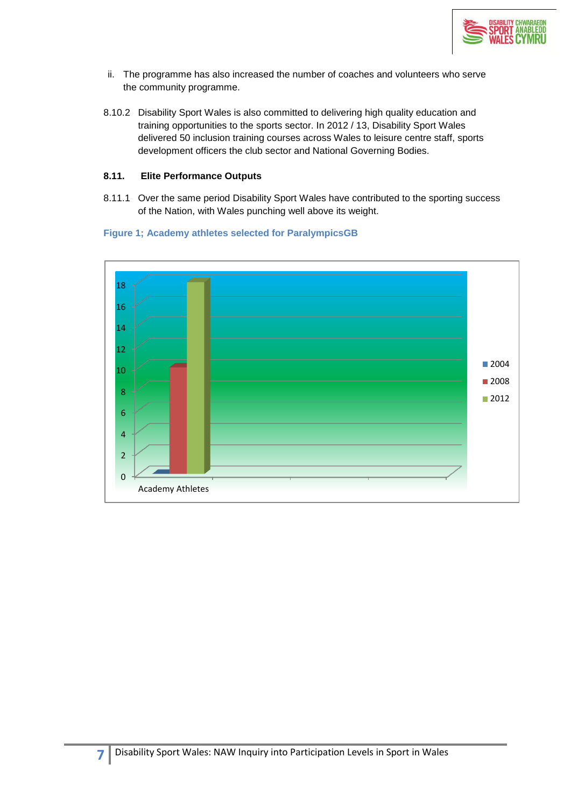

- ii. The programme has also increased the number of coaches and volunteers who serve the community programme.
- 8.10.2 Disability Sport Wales is also committed to delivering high quality education and training opportunities to the sports sector. In 2012 / 13, Disability Sport Wales delivered 50 inclusion training courses across Wales to leisure centre staff, sports development officers the club sector and National Governing Bodies.

## **8.11. Elite Performance Outputs**

8.11.1 Over the same period Disability Sport Wales have contributed to the sporting success of the Nation, with Wales punching well above its weight.



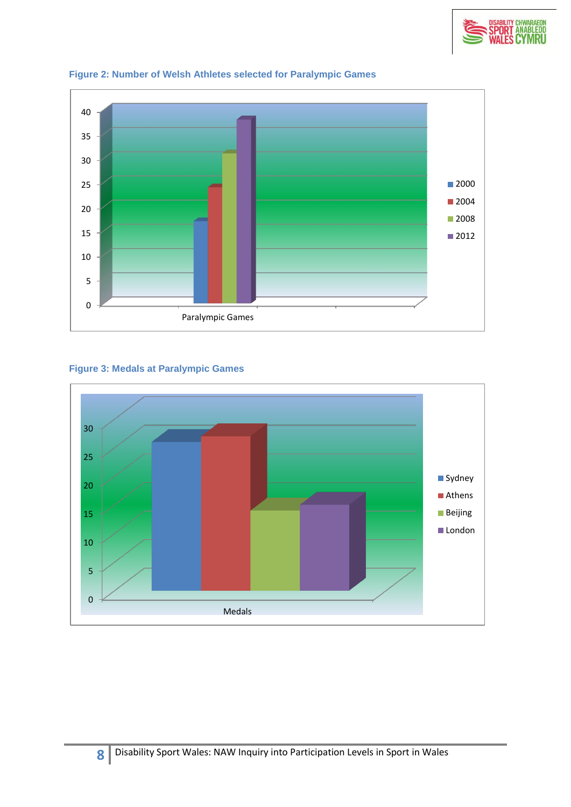





## **Figure 3: Medals at Paralympic Games**

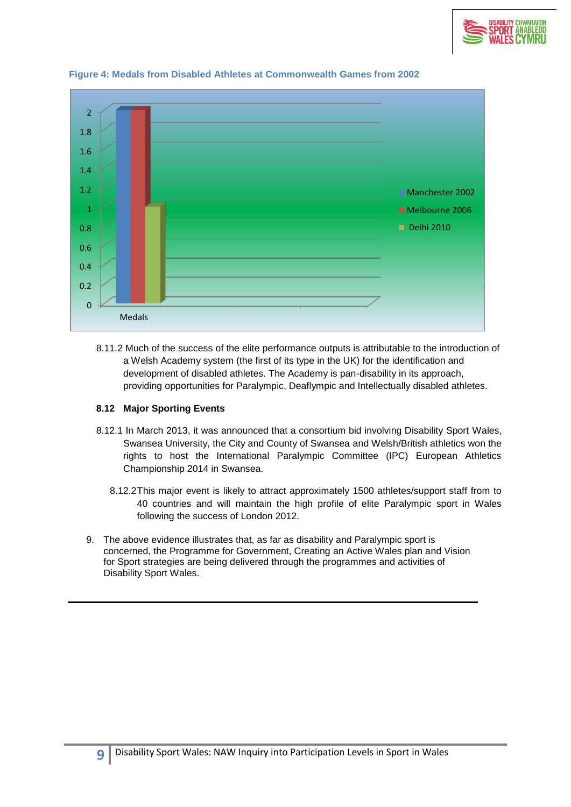



#### **Figure 4: Medals from Disabled Athletes at Commonwealth Games from 2002**

8.11.2 Much of the success of the elite performance outputs is attributable to the introduction of a Welsh Academy system (the first of its type in the UK) for the identification and development of disabled athletes. The Academy is pan-disability in its approach, providing opportunities for Paralympic, Deaflympic and Intellectually disabled athletes.

#### **8.12 Major Sporting Events**

- 8.12.1 In March 2013, it was announced that a consortium bid involving Disability Sport Wales, Swansea University, the City and County of Swansea and Welsh/British athletics won the rights to host the International Paralympic Committee (IPC) European Athletics Championship 2014 in Swansea.
	- 8.12.2This major event is likely to attract approximately 1500 athletes/support staff from to 40 countries and will maintain the high profile of elite Paralympic sport in Wales following the success of London 2012.
- 9. The above evidence illustrates that, as far as disability and Paralympic sport is concerned, the Programme for Government, Creating an Active Wales plan and Vision for Sport strategies are being delivered through the programmes and activities of Disability Sport Wales.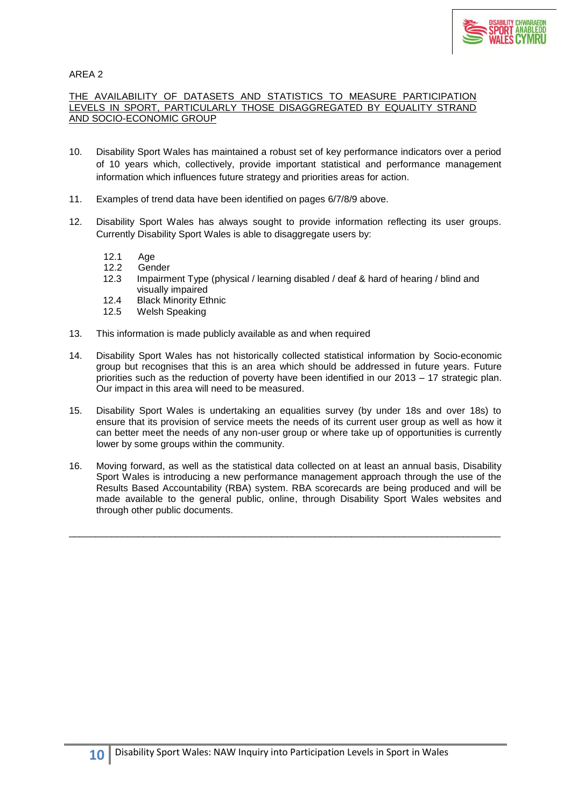

#### THE AVAILABILITY OF DATASETS AND STATISTICS TO MEASURE PARTICIPATION LEVELS IN SPORT, PARTICULARLY THOSE DISAGGREGATED BY EQUALITY STRAND AND SOCIO-ECONOMIC GROUP

- 10. Disability Sport Wales has maintained a robust set of key performance indicators over a period of 10 years which, collectively, provide important statistical and performance management information which influences future strategy and priorities areas for action.
- 11. Examples of trend data have been identified on pages 6/7/8/9 above.
- 12. Disability Sport Wales has always sought to provide information reflecting its user groups. Currently Disability Sport Wales is able to disaggregate users by:
	- 12.1 Age<br>12.2 Gen
	- 12.2 Gender<br>12.3 Impairm
	- Impairment Type (physical / learning disabled / deaf & hard of hearing / blind and visually impaired
	- 12.4 Black Minority Ethnic
	- 12.5 Welsh Speaking
- 13. This information is made publicly available as and when required
- 14. Disability Sport Wales has not historically collected statistical information by Socio-economic group but recognises that this is an area which should be addressed in future years. Future priorities such as the reduction of poverty have been identified in our 2013 – 17 strategic plan. Our impact in this area will need to be measured.
- 15. Disability Sport Wales is undertaking an equalities survey (by under 18s and over 18s) to ensure that its provision of service meets the needs of its current user group as well as how it can better meet the needs of any non-user group or where take up of opportunities is currently lower by some groups within the community.
- 16. Moving forward, as well as the statistical data collected on at least an annual basis, Disability Sport Wales is introducing a new performance management approach through the use of the Results Based Accountability (RBA) system. RBA scorecards are being produced and will be made available to the general public, online, through Disability Sport Wales websites and through other public documents.

\_\_\_\_\_\_\_\_\_\_\_\_\_\_\_\_\_\_\_\_\_\_\_\_\_\_\_\_\_\_\_\_\_\_\_\_\_\_\_\_\_\_\_\_\_\_\_\_\_\_\_\_\_\_\_\_\_\_\_\_\_\_\_\_\_\_\_\_\_\_\_\_\_\_\_\_\_\_\_\_\_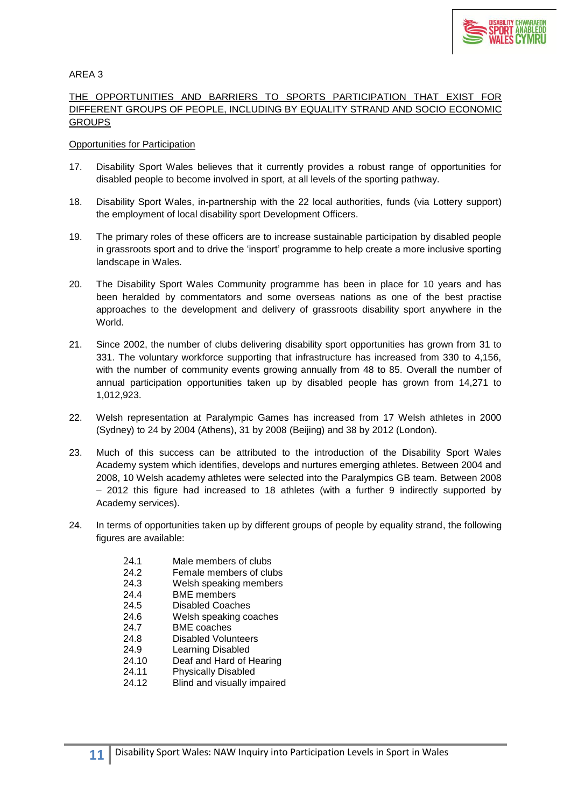

## THE OPPORTUNITIES AND BARRIERS TO SPORTS PARTICIPATION THAT EXIST FOR DIFFERENT GROUPS OF PEOPLE, INCLUDING BY EQUALITY STRAND AND SOCIO ECONOMIC **GROUPS**

#### Opportunities for Participation

- 17. Disability Sport Wales believes that it currently provides a robust range of opportunities for disabled people to become involved in sport, at all levels of the sporting pathway.
- 18. Disability Sport Wales, in-partnership with the 22 local authorities, funds (via Lottery support) the employment of local disability sport Development Officers.
- 19. The primary roles of these officers are to increase sustainable participation by disabled people in grassroots sport and to drive the 'insport' programme to help create a more inclusive sporting landscape in Wales.
- 20. The Disability Sport Wales Community programme has been in place for 10 years and has been heralded by commentators and some overseas nations as one of the best practise approaches to the development and delivery of grassroots disability sport anywhere in the World.
- 21. Since 2002, the number of clubs delivering disability sport opportunities has grown from 31 to 331. The voluntary workforce supporting that infrastructure has increased from 330 to 4,156, with the number of community events growing annually from 48 to 85. Overall the number of annual participation opportunities taken up by disabled people has grown from 14,271 to 1,012,923.
- 22. Welsh representation at Paralympic Games has increased from 17 Welsh athletes in 2000 (Sydney) to 24 by 2004 (Athens), 31 by 2008 (Beijing) and 38 by 2012 (London).
- 23. Much of this success can be attributed to the introduction of the Disability Sport Wales Academy system which identifies, develops and nurtures emerging athletes. Between 2004 and 2008, 10 Welsh academy athletes were selected into the Paralympics GB team. Between 2008 – 2012 this figure had increased to 18 athletes (with a further 9 indirectly supported by Academy services).
- 24. In terms of opportunities taken up by different groups of people by equality strand, the following figures are available:
	- 24.1 Male members of clubs
	- 24.2 Female members of clubs
	- 24.3 Welsh speaking members
	- 24.4 BME members
	- 24.5 Disabled Coaches
	- 24.6 Welsh speaking coaches
	- 24.7 BME coaches
	- 24.8 Disabled Volunteers
	- 24.9 Learning Disabled
	- 24.10 Deaf and Hard of Hearing
	- 24.11 Physically Disabled
	- 24.12 Blind and visually impaired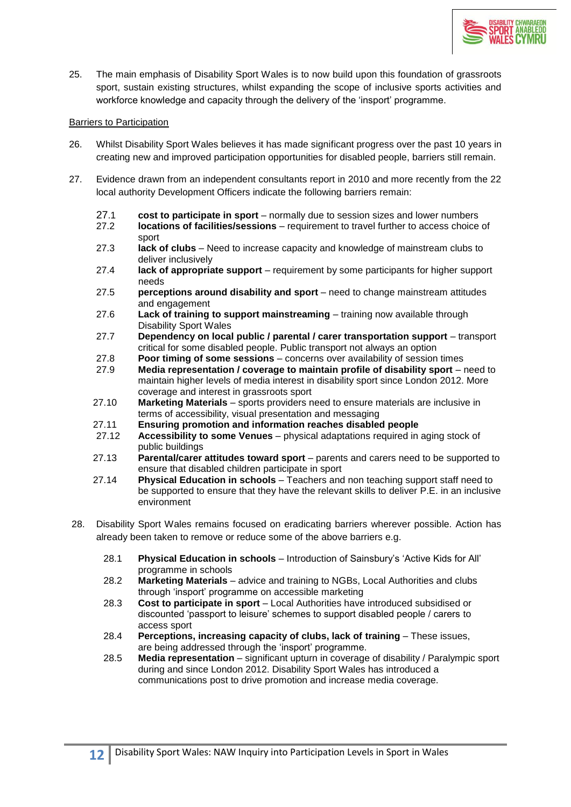

25. The main emphasis of Disability Sport Wales is to now build upon this foundation of grassroots sport, sustain existing structures, whilst expanding the scope of inclusive sports activities and workforce knowledge and capacity through the delivery of the 'insport' programme.

#### Barriers to Participation

- 26. Whilst Disability Sport Wales believes it has made significant progress over the past 10 years in creating new and improved participation opportunities for disabled people, barriers still remain.
- 27. Evidence drawn from an independent consultants report in 2010 and more recently from the 22 local authority Development Officers indicate the following barriers remain:
	- 27.1 **cost to participate in sport** normally due to session sizes and lower numbers
	- 27.2 **locations of facilities/sessions** requirement to travel further to access choice of sport
	- 27.3 **lack of clubs** Need to increase capacity and knowledge of mainstream clubs to deliver inclusively
	- 27.4 **lack of appropriate support** requirement by some participants for higher support needs
	- 27.5 **perceptions around disability and sport** need to change mainstream attitudes and engagement
	- 27.6 **Lack of training to support mainstreaming** training now available through Disability Sport Wales
	- 27.7 **Dependency on local public / parental / carer transportation support** transport critical for some disabled people. Public transport not always an option
	-
	- 27.8 **Poor timing of some sessions** concerns over availability of session times 27.9 **Media representation / coverage to maintain profile of disability sport** i 27.9 **Media representation / coverage to maintain profile of disability sport** – need to maintain higher levels of media interest in disability sport since London 2012. More coverage and interest in grassroots sport
	- 27.10 **Marketing Materials** sports providers need to ensure materials are inclusive in terms of accessibility, visual presentation and messaging
	- 27.11 **Ensuring promotion and information reaches disabled people**
	- 27.12 **Accessibility to some Venues** physical adaptations required in aging stock of public buildings
	- 27.13 **Parental/carer attitudes toward sport**  parents and carers need to be supported to ensure that disabled children participate in sport
	- 27.14 **Physical Education in schools** Teachers and non teaching support staff need to be supported to ensure that they have the relevant skills to deliver P.E. in an inclusive environment
- 28. Disability Sport Wales remains focused on eradicating barriers wherever possible. Action has already been taken to remove or reduce some of the above barriers e.g.
	- 28.1 **Physical Education in schools**  Introduction of Sainsbury's 'Active Kids for All' programme in schools
	- 28.2 **Marketing Materials** advice and training to NGBs, Local Authorities and clubs through 'insport' programme on accessible marketing
	- 28.3 **Cost to participate in sport** Local Authorities have introduced subsidised or discounted 'passport to leisure' schemes to support disabled people / carers to access sport
	- 28.4 **Perceptions, increasing capacity of clubs, lack of training** These issues, are being addressed through the 'insport' programme.
	- 28.5 **Media representation** significant upturn in coverage of disability / Paralympic sport during and since London 2012. Disability Sport Wales has introduced a communications post to drive promotion and increase media coverage.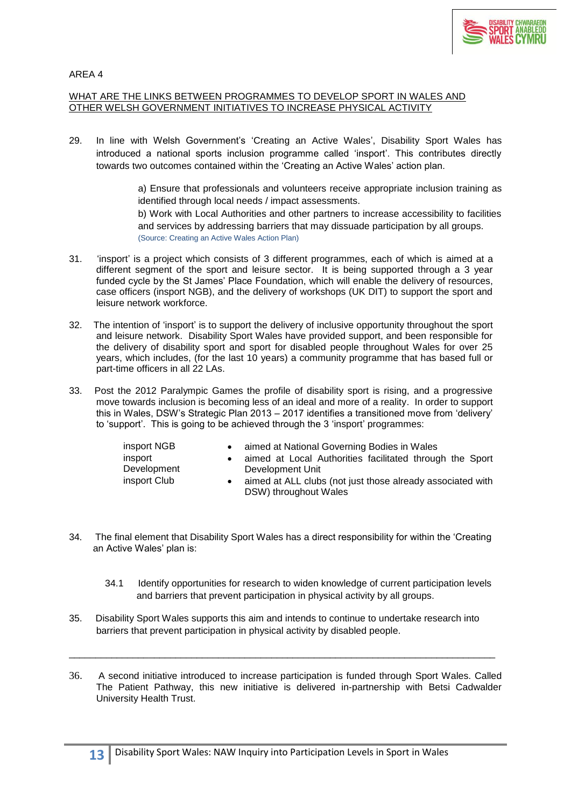

#### WHAT ARE THE LINKS BETWEEN PROGRAMMES TO DEVELOP SPORT IN WALES AND OTHER WELSH GOVERNMENT INITIATIVES TO INCREASE PHYSICAL ACTIVITY

29. In line with Welsh Government's 'Creating an Active Wales', Disability Sport Wales has introduced a national sports inclusion programme called 'insport'. This contributes directly towards two outcomes contained within the 'Creating an Active Wales' action plan.

> a) Ensure that professionals and volunteers receive appropriate inclusion training as identified through local needs / impact assessments.

> b) Work with Local Authorities and other partners to increase accessibility to facilities and services by addressing barriers that may dissuade participation by all groups. (Source: Creating an Active Wales Action Plan)

- 31. 'insport' is a project which consists of 3 different programmes, each of which is aimed at a different segment of the sport and leisure sector. It is being supported through a 3 year funded cycle by the St James' Place Foundation, which will enable the delivery of resources, case officers (insport NGB), and the delivery of workshops (UK DIT) to support the sport and leisure network workforce.
- 32. The intention of 'insport' is to support the delivery of inclusive opportunity throughout the sport and leisure network. Disability Sport Wales have provided support, and been responsible for the delivery of disability sport and sport for disabled people throughout Wales for over 25 years, which includes, (for the last 10 years) a community programme that has based full or part-time officers in all 22 LAs.
- 33. Post the 2012 Paralympic Games the profile of disability sport is rising, and a progressive move towards inclusion is becoming less of an ideal and more of a reality. In order to support this in Wales, DSW's Strategic Plan 2013 – 2017 identifies a transitioned move from 'delivery' to 'support'. This is going to be achieved through the 3 'insport' programmes:

| insport NGB<br>insport<br>Development<br>insport Club | aimed at National Governing Bodies in Wales<br>aimed at Local Authorities facilitated through the Sport<br>Development Unit<br>aimed at ALL clubs (not just those already associated with<br>DSW) throughout Wales |
|-------------------------------------------------------|--------------------------------------------------------------------------------------------------------------------------------------------------------------------------------------------------------------------|
|-------------------------------------------------------|--------------------------------------------------------------------------------------------------------------------------------------------------------------------------------------------------------------------|

- 34. The final element that Disability Sport Wales has a direct responsibility for within the 'Creating an Active Wales' plan is:
	- 34.1 Identify opportunities for research to widen knowledge of current participation levels and barriers that prevent participation in physical activity by all groups.
- 35. Disability Sport Wales supports this aim and intends to continue to undertake research into barriers that prevent participation in physical activity by disabled people.
- 36. A second initiative introduced to increase participation is funded through Sport Wales. Called The Patient Pathway, this new initiative is delivered in-partnership with Betsi Cadwalder University Health Trust.

\_\_\_\_\_\_\_\_\_\_\_\_\_\_\_\_\_\_\_\_\_\_\_\_\_\_\_\_\_\_\_\_\_\_\_\_\_\_\_\_\_\_\_\_\_\_\_\_\_\_\_\_\_\_\_\_\_\_\_\_\_\_\_\_\_\_\_\_\_\_\_\_\_\_\_\_\_\_\_\_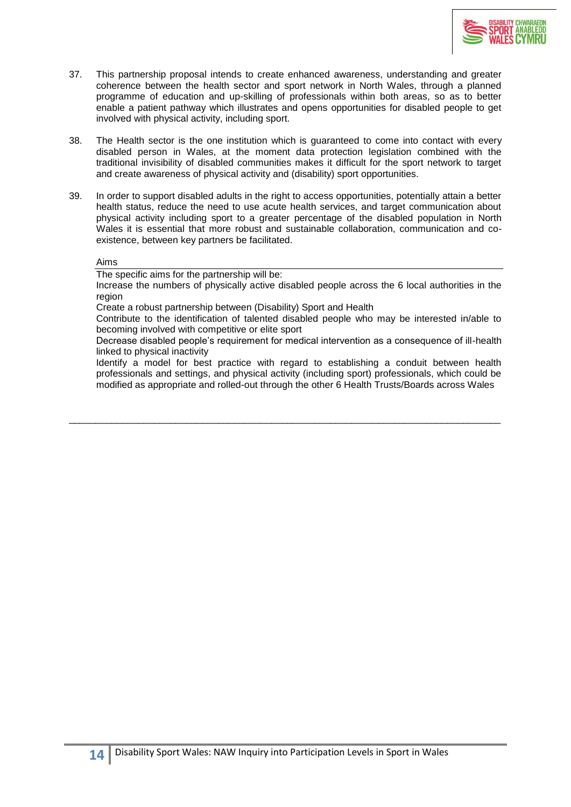

- 37. This partnership proposal intends to create enhanced awareness, understanding and greater coherence between the health sector and sport network in North Wales, through a planned programme of education and up-skilling of professionals within both areas, so as to better enable a patient pathway which illustrates and opens opportunities for disabled people to get involved with physical activity, including sport.
- 38. The Health sector is the one institution which is guaranteed to come into contact with every disabled person in Wales, at the moment data protection legislation combined with the traditional invisibility of disabled communities makes it difficult for the sport network to target and create awareness of physical activity and (disability) sport opportunities.
- 39. In order to support disabled adults in the right to access opportunities, potentially attain a better health status, reduce the need to use acute health services, and target communication about physical activity including sport to a greater percentage of the disabled population in North Wales it is essential that more robust and sustainable collaboration, communication and coexistence, between key partners be facilitated.

#### Aims

The specific aims for the partnership will be:

Increase the numbers of physically active disabled people across the 6 local authorities in the region

Create a robust partnership between (Disability) Sport and Health

Contribute to the identification of talented disabled people who may be interested in/able to becoming involved with competitive or elite sport

Decrease disabled people's requirement for medical intervention as a consequence of ill-health linked to physical inactivity

Identify a model for best practice with regard to establishing a conduit between health professionals and settings, and physical activity (including sport) professionals, which could be modified as appropriate and rolled-out through the other 6 Health Trusts/Boards across Wales

\_\_\_\_\_\_\_\_\_\_\_\_\_\_\_\_\_\_\_\_\_\_\_\_\_\_\_\_\_\_\_\_\_\_\_\_\_\_\_\_\_\_\_\_\_\_\_\_\_\_\_\_\_\_\_\_\_\_\_\_\_\_\_\_\_\_\_\_\_\_\_\_\_\_\_\_\_\_\_\_\_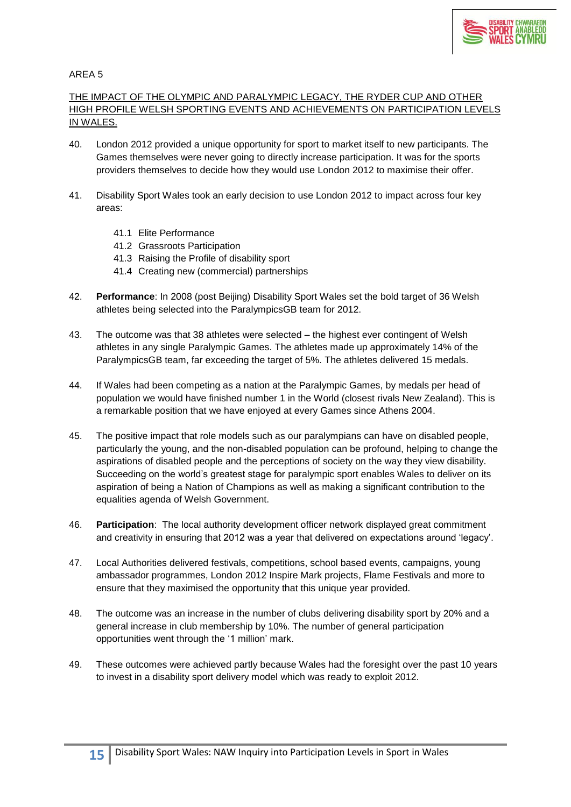

# THE IMPACT OF THE OLYMPIC AND PARALYMPIC LEGACY, THE RYDER CUP AND OTHER HIGH PROFILE WELSH SPORTING EVENTS AND ACHIEVEMENTS ON PARTICIPATION LEVELS IN WALES.

- 40. London 2012 provided a unique opportunity for sport to market itself to new participants. The Games themselves were never going to directly increase participation. It was for the sports providers themselves to decide how they would use London 2012 to maximise their offer.
- 41. Disability Sport Wales took an early decision to use London 2012 to impact across four key areas:
	- 41.1 Elite Performance
	- 41.2 Grassroots Participation
	- 41.3 Raising the Profile of disability sport
	- 41.4 Creating new (commercial) partnerships
- 42. **Performance**: In 2008 (post Beijing) Disability Sport Wales set the bold target of 36 Welsh athletes being selected into the ParalympicsGB team for 2012.
- 43. The outcome was that 38 athletes were selected the highest ever contingent of Welsh athletes in any single Paralympic Games. The athletes made up approximately 14% of the ParalympicsGB team, far exceeding the target of 5%. The athletes delivered 15 medals.
- 44. If Wales had been competing as a nation at the Paralympic Games, by medals per head of population we would have finished number 1 in the World (closest rivals New Zealand). This is a remarkable position that we have enjoyed at every Games since Athens 2004.
- 45. The positive impact that role models such as our paralympians can have on disabled people, particularly the young, and the non-disabled population can be profound, helping to change the aspirations of disabled people and the perceptions of society on the way they view disability. Succeeding on the world's greatest stage for paralympic sport enables Wales to deliver on its aspiration of being a Nation of Champions as well as making a significant contribution to the equalities agenda of Welsh Government.
- 46. **Participation**: The local authority development officer network displayed great commitment and creativity in ensuring that 2012 was a year that delivered on expectations around 'legacy'.
- 47. Local Authorities delivered festivals, competitions, school based events, campaigns, young ambassador programmes, London 2012 Inspire Mark projects, Flame Festivals and more to ensure that they maximised the opportunity that this unique year provided.
- 48. The outcome was an increase in the number of clubs delivering disability sport by 20% and a general increase in club membership by 10%. The number of general participation opportunities went through the '1 million' mark.
- 49. These outcomes were achieved partly because Wales had the foresight over the past 10 years to invest in a disability sport delivery model which was ready to exploit 2012.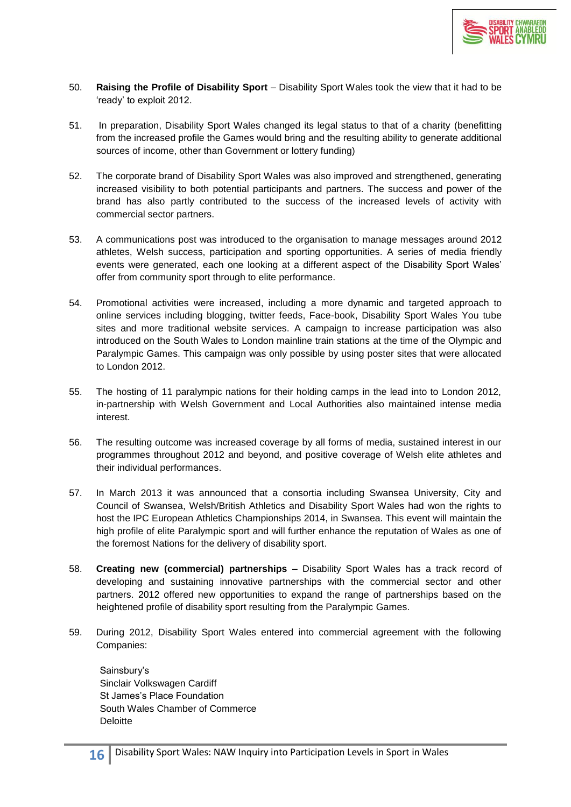

- 50. **Raising the Profile of Disability Sport** Disability Sport Wales took the view that it had to be 'ready' to exploit 2012.
- 51. In preparation, Disability Sport Wales changed its legal status to that of a charity (benefitting from the increased profile the Games would bring and the resulting ability to generate additional sources of income, other than Government or lottery funding)
- 52. The corporate brand of Disability Sport Wales was also improved and strengthened, generating increased visibility to both potential participants and partners. The success and power of the brand has also partly contributed to the success of the increased levels of activity with commercial sector partners.
- 53. A communications post was introduced to the organisation to manage messages around 2012 athletes, Welsh success, participation and sporting opportunities. A series of media friendly events were generated, each one looking at a different aspect of the Disability Sport Wales' offer from community sport through to elite performance.
- 54. Promotional activities were increased, including a more dynamic and targeted approach to online services including blogging, twitter feeds, Face-book, Disability Sport Wales You tube sites and more traditional website services. A campaign to increase participation was also introduced on the South Wales to London mainline train stations at the time of the Olympic and Paralympic Games. This campaign was only possible by using poster sites that were allocated to London 2012.
- 55. The hosting of 11 paralympic nations for their holding camps in the lead into to London 2012, in-partnership with Welsh Government and Local Authorities also maintained intense media interest.
- 56. The resulting outcome was increased coverage by all forms of media, sustained interest in our programmes throughout 2012 and beyond, and positive coverage of Welsh elite athletes and their individual performances.
- 57. In March 2013 it was announced that a consortia including Swansea University, City and Council of Swansea, Welsh/British Athletics and Disability Sport Wales had won the rights to host the IPC European Athletics Championships 2014, in Swansea. This event will maintain the high profile of elite Paralympic sport and will further enhance the reputation of Wales as one of the foremost Nations for the delivery of disability sport.
- 58. **Creating new (commercial) partnerships** Disability Sport Wales has a track record of developing and sustaining innovative partnerships with the commercial sector and other partners. 2012 offered new opportunities to expand the range of partnerships based on the heightened profile of disability sport resulting from the Paralympic Games.
- 59. During 2012, Disability Sport Wales entered into commercial agreement with the following Companies:

Sainsbury's Sinclair Volkswagen Cardiff St James's Place Foundation South Wales Chamber of Commerce Deloitte